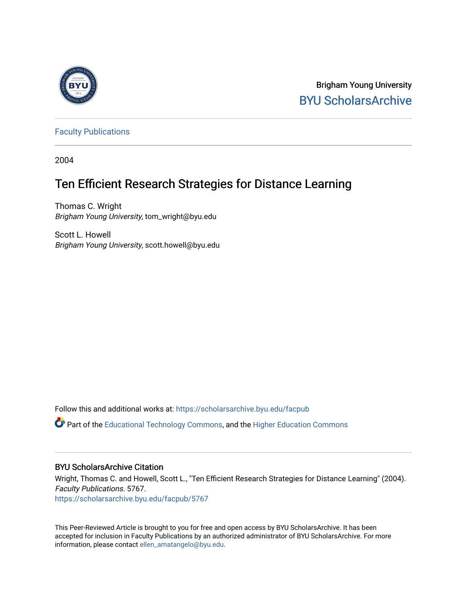

Brigham Young University [BYU ScholarsArchive](https://scholarsarchive.byu.edu/) 

[Faculty Publications](https://scholarsarchive.byu.edu/facpub)

2004

# Ten Efficient Research Strategies for Distance Learning

Thomas C. Wright Brigham Young University, tom\_wright@byu.edu

Scott L. Howell Brigham Young University, scott.howell@byu.edu

Follow this and additional works at: [https://scholarsarchive.byu.edu/facpub](https://scholarsarchive.byu.edu/facpub?utm_source=scholarsarchive.byu.edu%2Ffacpub%2F5767&utm_medium=PDF&utm_campaign=PDFCoverPages) 

**C** Part of the [Educational Technology Commons,](http://network.bepress.com/hgg/discipline/1415?utm_source=scholarsarchive.byu.edu%2Ffacpub%2F5767&utm_medium=PDF&utm_campaign=PDFCoverPages) and the Higher Education Commons

#### BYU ScholarsArchive Citation

Wright, Thomas C. and Howell, Scott L., "Ten Efficient Research Strategies for Distance Learning" (2004). Faculty Publications. 5767. [https://scholarsarchive.byu.edu/facpub/5767](https://scholarsarchive.byu.edu/facpub/5767?utm_source=scholarsarchive.byu.edu%2Ffacpub%2F5767&utm_medium=PDF&utm_campaign=PDFCoverPages)

This Peer-Reviewed Article is brought to you for free and open access by BYU ScholarsArchive. It has been accepted for inclusion in Faculty Publications by an authorized administrator of BYU ScholarsArchive. For more information, please contact [ellen\\_amatangelo@byu.edu.](mailto:ellen_amatangelo@byu.edu)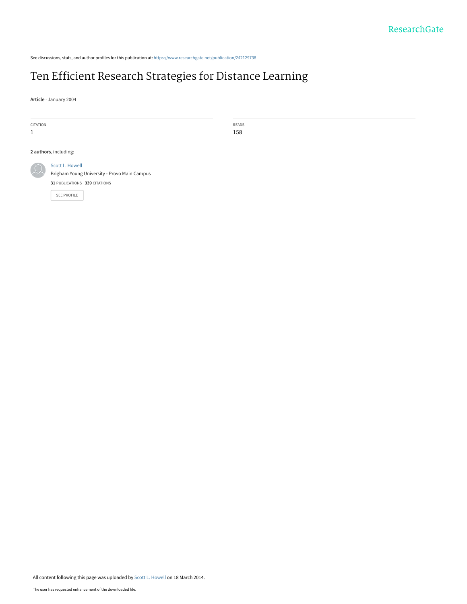See discussions, stats, and author profiles for this publication at: [https://www.researchgate.net/publication/242129738](https://www.researchgate.net/publication/242129738_Ten_Efficient_Research_Strategies_for_Distance_Learning?enrichId=rgreq-a2b374ecf6ad3c1b420c0f9942e48d36-XXX&enrichSource=Y292ZXJQYWdlOzI0MjEyOTczODtBUzoxMDQ1NDA5OTcxNjA5NjdAMTQwMTkzNTkyNDUwNw%3D%3D&el=1_x_2&_esc=publicationCoverPdf)

# [Ten Efficient Research Strategies for Distance Learning](https://www.researchgate.net/publication/242129738_Ten_Efficient_Research_Strategies_for_Distance_Learning?enrichId=rgreq-a2b374ecf6ad3c1b420c0f9942e48d36-XXX&enrichSource=Y292ZXJQYWdlOzI0MjEyOTczODtBUzoxMDQ1NDA5OTcxNjA5NjdAMTQwMTkzNTkyNDUwNw%3D%3D&el=1_x_3&_esc=publicationCoverPdf)

**Article** · January 2004

| CITATION              |                                                                                                                 | READS |
|-----------------------|-----------------------------------------------------------------------------------------------------------------|-------|
| 1                     |                                                                                                                 | 158   |
|                       |                                                                                                                 |       |
| 2 authors, including: |                                                                                                                 |       |
| $\Omega$              | Scott L. Howell<br>Brigham Young University - Provo Main Campus<br>31 PUBLICATIONS 339 CITATIONS<br>SEE PROFILE |       |
|                       |                                                                                                                 |       |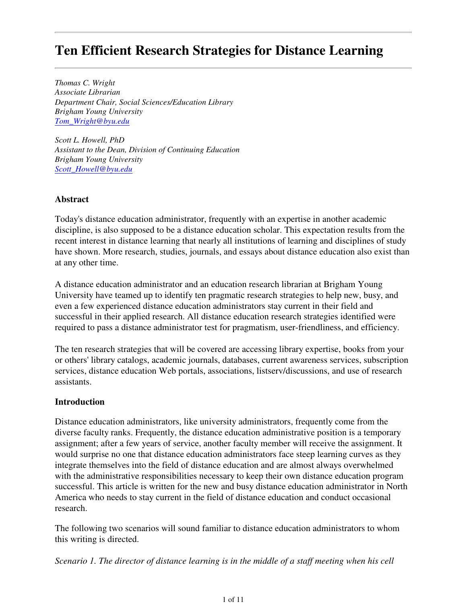# **Ten Efficient Research Strategies for Distance Learning**

*Thomas C. Wright Associate Librarian Department Chair, Social Sciences/Education Library Brigham Young University Tom\_Wright@byu.edu*

*Scott L. Howell, PhD Assistant to the Dean, Division of Continuing Education Brigham Young University Scott\_Howell@byu.edu*

#### **Abstract**

Today's distance education administrator, frequently with an expertise in another academic discipline, is also supposed to be a distance education scholar. This expectation results from the recent interest in distance learning that nearly all institutions of learning and disciplines of study have shown. More research, studies, journals, and essays about distance education also exist than at any other time.

A distance education administrator and an education research librarian at Brigham Young University have teamed up to identify ten pragmatic research strategies to help new, busy, and even a few experienced distance education administrators stay current in their field and successful in their applied research. All distance education research strategies identified were required to pass a distance administrator test for pragmatism, user-friendliness, and efficiency.

The ten research strategies that will be covered are accessing library expertise, books from your or others' library catalogs, academic journals, databases, current awareness services, subscription services, distance education Web portals, associations, listserv/discussions, and use of research assistants.

#### **Introduction**

Distance education administrators, like university administrators, frequently come from the diverse faculty ranks. Frequently, the distance education administrative position is a temporary assignment; after a few years of service, another faculty member will receive the assignment. It would surprise no one that distance education administrators face steep learning curves as they integrate themselves into the field of distance education and are almost always overwhelmed with the administrative responsibilities necessary to keep their own distance education program successful. This article is written for the new and busy distance education administrator in North America who needs to stay current in the field of distance education and conduct occasional research.

The following two scenarios will sound familiar to distance education administrators to whom this writing is directed.

*Scenario 1. The director of distance learning is in the middle of a staff meeting when his cell*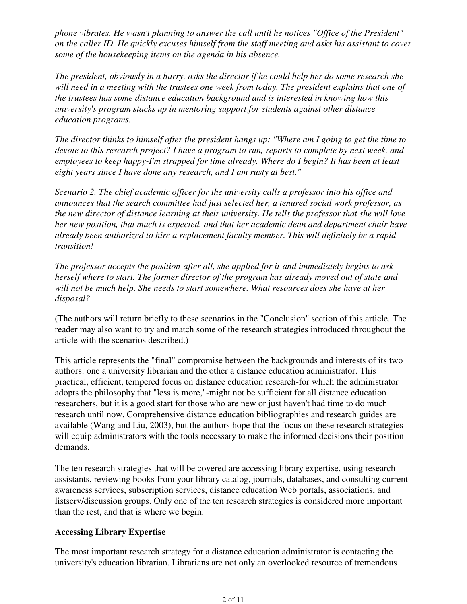*phone vibrates. He wasn't planning to answer the call until he notices "Office of the President"* on the caller ID. He quickly excuses himself from the staff meeting and asks his assistant to cover *some of the housekeeping items on the agenda in his absence.*

*The president, obviously in a hurry, asks the director if he could help her do some research she will need in a meeting with the trustees one week from today. The president explains that one of the trustees has some distance education background and is interested in knowing how this university's program stacks up in mentoring support for students against other distance education programs.*

The director thinks to himself after the president hangs up: "Where am I going to get the time to *devote to this research project? I have a program to run, reports to complete by next week, and employees to keep happy-I'm strapped for time already. Where do I begin? It has been at least eight years since I have done any research, and I am rusty at best."*

*Scenario 2. The chief academic officer for the university calls a professor into his office and announces that the search committee had just selected her, a tenured social work professor, as the new director of distance learning at their university. He tells the professor that she will love her new position, that much is expected, and that her academic dean and department chair have already been authorized to hire a replacement faculty member. This will definitely be a rapid transition!*

*The professor accepts the position-after all, she applied for it-and immediately begins to ask herself where to start. The former director of the program has already moved out of state and will not be much help. She needs to start somewhere. What resources does she have at her disposal?*

(The authors will return briefly to these scenarios in the "Conclusion" section of this article. The reader may also want to try and match some of the research strategies introduced throughout the article with the scenarios described.)

This article represents the "final" compromise between the backgrounds and interests of its two authors: one a university librarian and the other a distance education administrator. This practical, efficient, tempered focus on distance education research-for which the administrator adopts the philosophy that "less is more,"-might not be sufficient for all distance education researchers, but it is a good start for those who are new or just haven't had time to do much research until now. Comprehensive distance education bibliographies and research guides are available (Wang and Liu, 2003), but the authors hope that the focus on these research strategies will equip administrators with the tools necessary to make the informed decisions their position demands.

The ten research strategies that will be covered are accessing library expertise, using research assistants, reviewing books from your library catalog, journals, databases, and consulting current awareness services, subscription services, distance education Web portals, associations, and listserv/discussion groups. Only one of the ten research strategies is considered more important than the rest, and that is where we begin.

#### **Accessing Library Expertise**

The most important research strategy for a distance education administrator is contacting the university's education librarian. Librarians are not only an overlooked resource of tremendous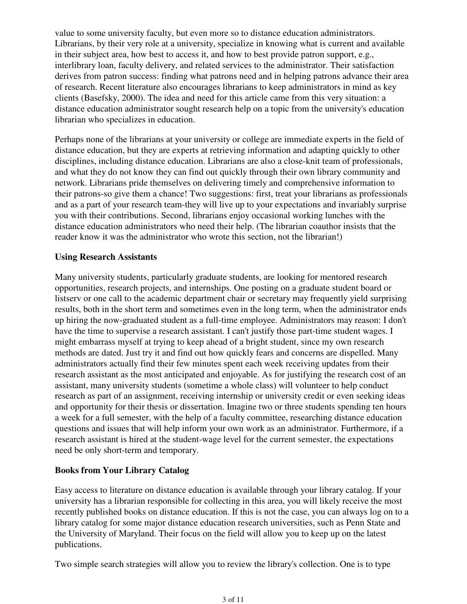value to some university faculty, but even more so to distance education administrators. Librarians, by their very role at a university, specialize in knowing what is current and available in their subject area, how best to access it, and how to best provide patron support, e.g., interlibrary loan, faculty delivery, and related services to the administrator. Their satisfaction derives from patron success: finding what patrons need and in helping patrons advance their area of research. Recent literature also encourages librarians to keep administrators in mind as key clients (Basefsky, 2000). The idea and need for this article came from this very situation: a distance education administrator sought research help on a topic from the university's education librarian who specializes in education.

Perhaps none of the librarians at your university or college are immediate experts in the field of distance education, but they are experts at retrieving information and adapting quickly to other disciplines, including distance education. Librarians are also a close-knit team of professionals, and what they do not know they can find out quickly through their own library community and network. Librarians pride themselves on delivering timely and comprehensive information to their patrons-so give them a chance! Two suggestions: first, treat your librarians as professionals and as a part of your research team-they will live up to your expectations and invariably surprise you with their contributions. Second, librarians enjoy occasional working lunches with the distance education administrators who need their help. (The librarian coauthor insists that the reader know it was the administrator who wrote this section, not the librarian!)

#### **Using Research Assistants**

Many university students, particularly graduate students, are looking for mentored research opportunities, research projects, and internships. One posting on a graduate student board or listserv or one call to the academic department chair or secretary may frequently yield surprising results, both in the short term and sometimes even in the long term, when the administrator ends up hiring the now-graduated student as a full-time employee. Administrators may reason: I don't have the time to supervise a research assistant. I can't justify those part-time student wages. I might embarrass myself at trying to keep ahead of a bright student, since my own research methods are dated. Just try it and find out how quickly fears and concerns are dispelled. Many administrators actually find their few minutes spent each week receiving updates from their research assistant as the most anticipated and enjoyable. As for justifying the research cost of an assistant, many university students (sometime a whole class) will volunteer to help conduct research as part of an assignment, receiving internship or university credit or even seeking ideas and opportunity for their thesis or dissertation. Imagine two or three students spending ten hours a week for a full semester, with the help of a faculty committee, researching distance education questions and issues that will help inform your own work as an administrator. Furthermore, if a research assistant is hired at the student-wage level for the current semester, the expectations need be only short-term and temporary.

#### **Books from Your Library Catalog**

Easy access to literature on distance education is available through your library catalog. If your university has a librarian responsible for collecting in this area, you will likely receive the most recently published books on distance education. If this is not the case, you can always log on to a library catalog for some major distance education research universities, such as Penn State and the University of Maryland. Their focus on the field will allow you to keep up on the latest publications.

Two simple search strategies will allow you to review the library's collection. One is to type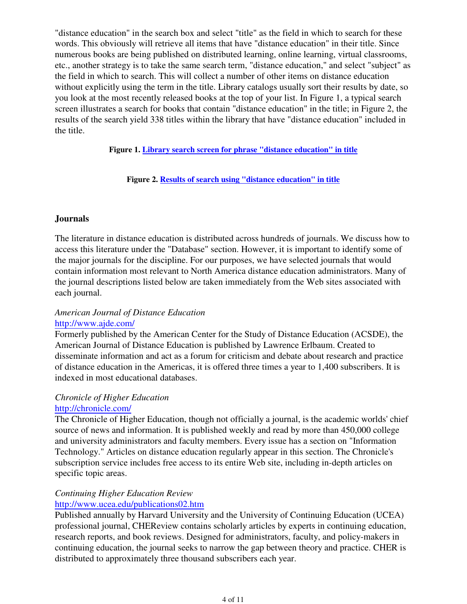"distance education" in the search box and select "title" as the field in which to search for these words. This obviously will retrieve all items that have "distance education" in their title. Since numerous books are being published on distributed learning, online learning, virtual classrooms, etc., another strategy is to take the same search term, "distance education," and select "subject" as the field in which to search. This will collect a number of other items on distance education without explicitly using the term in the title. Library catalogs usually sort their results by date, so you look at the most recently released books at the top of your list. In Figure 1, a typical search screen illustrates a search for books that contain "distance education" in the title; in Figure 2, the results of the search yield 338 titles within the library that have "distance education" included in the title.

**Figure 1. Library search screen for phrase "distance education" in title**

**Figure 2. Results of search using "distance education" in title**

#### **Journals**

The literature in distance education is distributed across hundreds of journals. We discuss how to access this literature under the "Database" section. However, it is important to identify some of the major journals for the discipline. For our purposes, we have selected journals that would contain information most relevant to North America distance education administrators. Many of the journal descriptions listed below are taken immediately from the Web sites associated with each journal.

### *American Journal of Distance Education* http://www.ajde.com/

Formerly published by the American Center for the Study of Distance Education (ACSDE), the American Journal of Distance Education is published by Lawrence Erlbaum. Created to disseminate information and act as a forum for criticism and debate about research and practice of distance education in the Americas, it is offered three times a year to 1,400 subscribers. It is indexed in most educational databases.

#### *Chronicle of Higher Education* http://chronicle.com/

The Chronicle of Higher Education, though not officially a journal, is the academic worlds' chief source of news and information. It is published weekly and read by more than 450,000 college and university administrators and faculty members. Every issue has a section on "Information Technology." Articles on distance education regularly appear in this section. The Chronicle's subscription service includes free access to its entire Web site, including in-depth articles on specific topic areas.

# *Continuing Higher Education Review*

#### http://www.ucea.edu/publications02.htm

Published annually by Harvard University and the University of Continuing Education (UCEA) professional journal, CHEReview contains scholarly articles by experts in continuing education, research reports, and book reviews. Designed for administrators, faculty, and policy-makers in continuing education, the journal seeks to narrow the gap between theory and practice. CHER is distributed to approximately three thousand subscribers each year.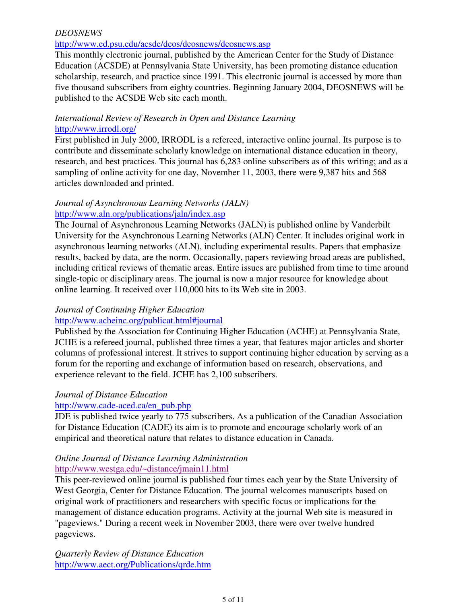#### *DEOSNEWS*

#### http://www.ed.psu.edu/acsde/deos/deosnews/deosnews.asp

This monthly electronic journal, published by the American Center for the Study of Distance Education (ACSDE) at Pennsylvania State University, has been promoting distance education scholarship, research, and practice since 1991. This electronic journal is accessed by more than five thousand subscribers from eighty countries. Beginning January 2004, DEOSNEWS will be published to the ACSDE Web site each month.

#### *International Review of Research in Open and Distance Learning* http://www.irrodl.org/

First published in July 2000, IRRODL is a refereed, interactive online journal. Its purpose is to contribute and disseminate scholarly knowledge on international distance education in theory, research, and best practices. This journal has 6,283 online subscribers as of this writing; and as a sampling of online activity for one day, November 11, 2003, there were 9,387 hits and 568 articles downloaded and printed.

#### *Journal of Asynchronous Learning Networks (JALN)* http://www.aln.org/publications/jaln/index.asp

The Journal of Asynchronous Learning Networks (JALN) is published online by Vanderbilt University for the Asynchronous Learning Networks (ALN) Center. It includes original work in asynchronous learning networks (ALN), including experimental results. Papers that emphasize results, backed by data, are the norm. Occasionally, papers reviewing broad areas are published, including critical reviews of thematic areas. Entire issues are published from time to time around single-topic or disciplinary areas. The journal is now a major resource for knowledge about online learning. It received over 110,000 hits to its Web site in 2003.

# *Journal of Continuing Higher Education*

#### http://www.acheinc.org/publicat.html#journal

Published by the Association for Continuing Higher Education (ACHE) at Pennsylvania State, JCHE is a refereed journal, published three times a year, that features major articles and shorter columns of professional interest. It strives to support continuing higher education by serving as a forum for the reporting and exchange of information based on research, observations, and experience relevant to the field. JCHE has 2,100 subscribers.

## *Journal of Distance Education*

## http://www.cade-aced.ca/en\_pub.php

JDE is published twice yearly to 775 subscribers. As a publication of the Canadian Association for Distance Education (CADE) its aim is to promote and encourage scholarly work of an empirical and theoretical nature that relates to distance education in Canada.

#### *Online Journal of Distance Learning Administration* http://www.westga.edu/~distance/jmain11.html

This peer-reviewed online journal is published four times each year by the State University of West Georgia, Center for Distance Education. The journal welcomes manuscripts based on original work of practitioners and researchers with specific focus or implications for the management of distance education programs. Activity at the journal Web site is measured in "pageviews." During a recent week in November 2003, there were over twelve hundred pageviews.

*Quarterly Review of Distance Education* http://www.aect.org/Publications/qrde.htm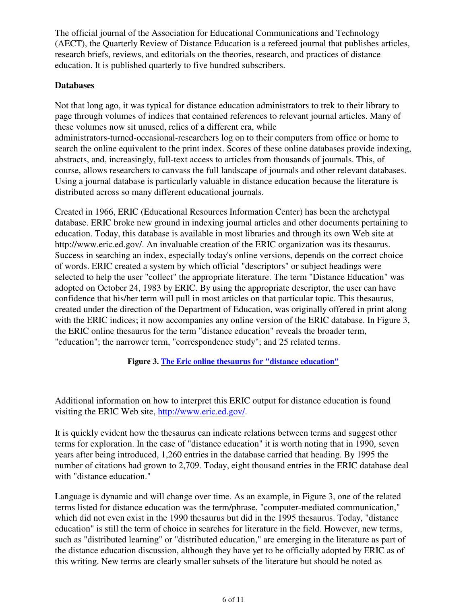The official journal of the Association for Educational Communications and Technology (AECT), the Quarterly Review of Distance Education is a refereed journal that publishes articles, research briefs, reviews, and editorials on the theories, research, and practices of distance education. It is published quarterly to five hundred subscribers.

#### **Databases**

Not that long ago, it was typical for distance education administrators to trek to their library to page through volumes of indices that contained references to relevant journal articles. Many of these volumes now sit unused, relics of a different era, while administrators-turned-occasional-researchers log on to their computers from office or home to search the online equivalent to the print index. Scores of these online databases provide indexing, abstracts, and, increasingly, full-text access to articles from thousands of journals. This, of course, allows researchers to canvass the full landscape of journals and other relevant databases. Using a journal database is particularly valuable in distance education because the literature is distributed across so many different educational journals.

Created in 1966, ERIC (Educational Resources Information Center) has been the archetypal database. ERIC broke new ground in indexing journal articles and other documents pertaining to education. Today, this database is available in most libraries and through its own Web site at http://www.eric.ed.gov/. An invaluable creation of the ERIC organization was its thesaurus. Success in searching an index, especially today's online versions, depends on the correct choice of words. ERIC created a system by which official "descriptors" or subject headings were selected to help the user "collect" the appropriate literature. The term "Distance Education" was adopted on October 24, 1983 by ERIC. By using the appropriate descriptor, the user can have confidence that his/her term will pull in most articles on that particular topic. This thesaurus, created under the direction of the Department of Education, was originally offered in print along with the ERIC indices; it now accompanies any online version of the ERIC database. In Figure 3, the ERIC online thesaurus for the term "distance education" reveals the broader term, "education"; the narrower term, "correspondence study"; and 25 related terms.

#### **Figure 3. The Eric online thesaurus for "distance education"**

Additional information on how to interpret this ERIC output for distance education is found visiting the ERIC Web site, http://www.eric.ed.gov/.

It is quickly evident how the thesaurus can indicate relations between terms and suggest other terms for exploration. In the case of "distance education" it is worth noting that in 1990, seven years after being introduced, 1,260 entries in the database carried that heading. By 1995 the number of citations had grown to 2,709. Today, eight thousand entries in the ERIC database deal with "distance education."

Language is dynamic and will change over time. As an example, in Figure 3, one of the related terms listed for distance education was the term/phrase, "computer-mediated communication," which did not even exist in the 1990 thesaurus but did in the 1995 thesaurus. Today, "distance education" is still the term of choice in searches for literature in the field. However, new terms, such as "distributed learning" or "distributed education," are emerging in the literature as part of the distance education discussion, although they have yet to be officially adopted by ERIC as of this writing. New terms are clearly smaller subsets of the literature but should be noted as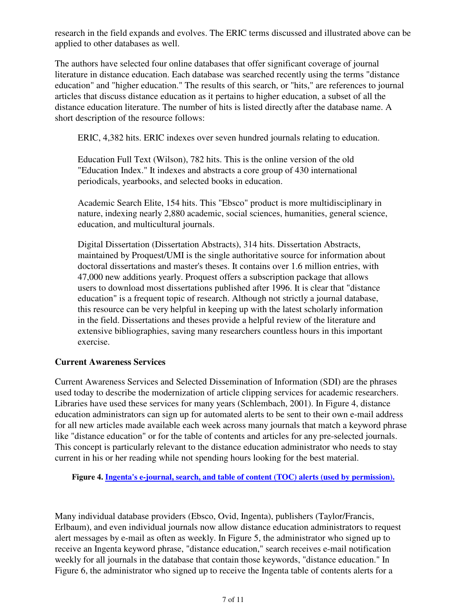research in the field expands and evolves. The ERIC terms discussed and illustrated above can be applied to other databases as well.

The authors have selected four online databases that offer significant coverage of journal literature in distance education. Each database was searched recently using the terms "distance education" and "higher education." The results of this search, or "hits," are references to journal articles that discuss distance education as it pertains to higher education, a subset of all the distance education literature. The number of hits is listed directly after the database name. A short description of the resource follows:

ERIC, 4,382 hits. ERIC indexes over seven hundred journals relating to education.

Education Full Text (Wilson), 782 hits. This is the online version of the old "Education Index." It indexes and abstracts a core group of 430 international periodicals, yearbooks, and selected books in education.

Academic Search Elite, 154 hits. This "Ebsco" product is more multidisciplinary in nature, indexing nearly 2,880 academic, social sciences, humanities, general science, education, and multicultural journals.

Digital Dissertation (Dissertation Abstracts), 314 hits. Dissertation Abstracts, maintained by Proquest/UMI is the single authoritative source for information about doctoral dissertations and master's theses. It contains over 1.6 million entries, with 47,000 new additions yearly. Proquest offers a subscription package that allows users to download most dissertations published after 1996. It is clear that "distance education" is a frequent topic of research. Although not strictly a journal database, this resource can be very helpful in keeping up with the latest scholarly information in the field. Dissertations and theses provide a helpful review of the literature and extensive bibliographies, saving many researchers countless hours in this important exercise.

#### **Current Awareness Services**

Current Awareness Services and Selected Dissemination of Information (SDI) are the phrases used today to describe the modernization of article clipping services for academic researchers. Libraries have used these services for many years (Schlembach, 2001). In Figure 4, distance education administrators can sign up for automated alerts to be sent to their own e-mail address for all new articles made available each week across many journals that match a keyword phrase like "distance education" or for the table of contents and articles for any pre-selected journals. This concept is particularly relevant to the distance education administrator who needs to stay current in his or her reading while not spending hours looking for the best material.

**Figure 4. Ingenta's e-journal, search, and table of content (TOC) alerts (used by permission).**

Many individual database providers (Ebsco, Ovid, Ingenta), publishers (Taylor/Francis, Erlbaum), and even individual journals now allow distance education administrators to request alert messages by e-mail as often as weekly. In Figure 5, the administrator who signed up to receive an Ingenta keyword phrase, "distance education," search receives e-mail notification weekly for all journals in the database that contain those keywords, "distance education." In Figure 6, the administrator who signed up to receive the Ingenta table of contents alerts for a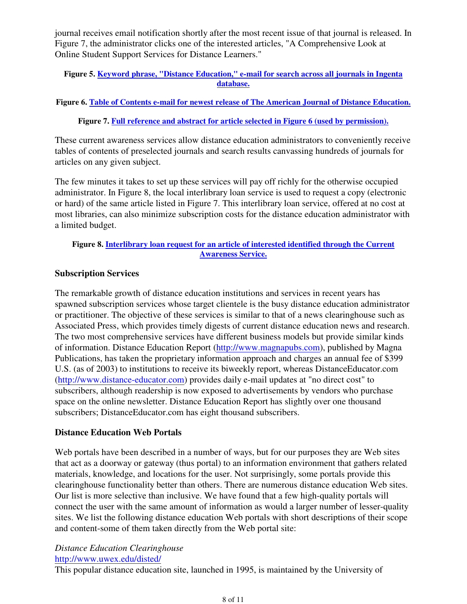journal receives email notification shortly after the most recent issue of that journal is released. In Figure 7, the administrator clicks one of the interested articles, "A Comprehensive Look at Online Student Support Services for Distance Learners."

#### **Figure 5. Keyword phrase, "Distance Education," e-mail for search across all journals in Ingenta database.**

#### **Figure 6. Table of Contents e-mail for newest release of The American Journal of Distance Education.**

#### **Figure 7. Full reference and abstract for article selected in Figure 6 (used by permission).**

These current awareness services allow distance education administrators to conveniently receive tables of contents of preselected journals and search results canvassing hundreds of journals for articles on any given subject.

The few minutes it takes to set up these services will pay off richly for the otherwise occupied administrator. In Figure 8, the local interlibrary loan service is used to request a copy (electronic or hard) of the same article listed in Figure 7. This interlibrary loan service, offered at no cost at most libraries, can also minimize subscription costs for the distance education administrator with a limited budget.

#### **Figure 8. Interlibrary loan request for an article of interested identified through the Current Awareness Service.**

#### **Subscription Services**

The remarkable growth of distance education institutions and services in recent years has spawned subscription services whose target clientele is the busy distance education administrator or practitioner. The objective of these services is similar to that of a news clearinghouse such as Associated Press, which provides timely digests of current distance education news and research. The two most comprehensive services have different business models but provide similar kinds of information. Distance Education Report (http://www.magnapubs.com), published by Magna Publications, has taken the proprietary information approach and charges an annual fee of \$399 U.S. (as of 2003) to institutions to receive its biweekly report, whereas DistanceEducator.com (http://www.distance-educator.com) provides daily e-mail updates at "no direct cost" to subscribers, although readership is now exposed to advertisements by vendors who purchase space on the online newsletter. Distance Education Report has slightly over one thousand subscribers; DistanceEducator.com has eight thousand subscribers.

#### **Distance Education Web Portals**

Web portals have been described in a number of ways, but for our purposes they are Web sites that act as a doorway or gateway (thus portal) to an information environment that gathers related materials, knowledge, and locations for the user. Not surprisingly, some portals provide this clearinghouse functionality better than others. There are numerous distance education Web sites. Our list is more selective than inclusive. We have found that a few high-quality portals will connect the user with the same amount of information as would a larger number of lesser-quality sites. We list the following distance education Web portals with short descriptions of their scope and content-some of them taken directly from the Web portal site:

#### *Distance Education Clearinghouse* http://www.uwex.edu/disted/

This popular distance education site, launched in 1995, is maintained by the University of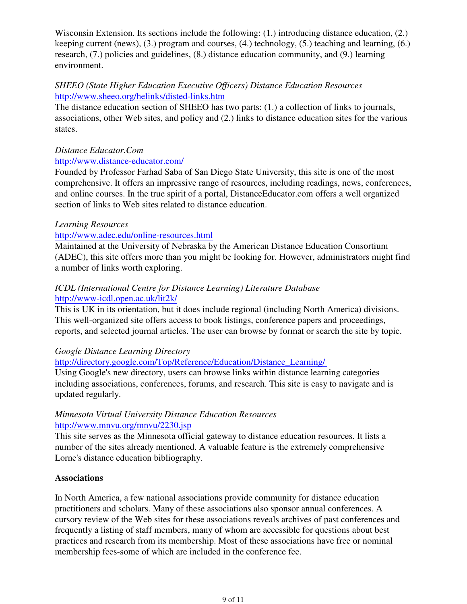Wisconsin Extension. Its sections include the following: (1.) introducing distance education, (2.) keeping current (news), (3.) program and courses, (4.) technology, (5.) teaching and learning, (6.) research, (7.) policies and guidelines, (8.) distance education community, and (9.) learning environment.

#### *SHEEO (State Higher Education Executive Officers) Distance Education Resources* http://www.sheeo.org/helinks/disted-links.htm

The distance education section of SHEEO has two parts: (1.) a collection of links to journals, associations, other Web sites, and policy and (2.) links to distance education sites for the various states.

#### *Distance Educator.Com*

#### http://www.distance-educator.com/

Founded by Professor Farhad Saba of San Diego State University, this site is one of the most comprehensive. It offers an impressive range of resources, including readings, news, conferences, and online courses. In the true spirit of a portal, DistanceEducator.com offers a well organized section of links to Web sites related to distance education.

#### *Learning Resources*

#### http://www.adec.edu/online-resources.html

Maintained at the University of Nebraska by the American Distance Education Consortium (ADEC), this site offers more than you might be looking for. However, administrators might find a number of links worth exploring.

### *ICDL (International Centre for Distance Learning) Literature Database* http://www-icdl.open.ac.uk/lit2k/

This is UK in its orientation, but it does include regional (including North America) divisions. This well-organized site offers access to book listings, conference papers and proceedings, reports, and selected journal articles. The user can browse by format or search the site by topic.

#### *Google Distance Learning Directory*

http://directory.google.com/Top/Reference/Education/Distance\_Learning/

Using Google's new directory, users can browse links within distance learning categories including associations, conferences, forums, and research. This site is easy to navigate and is updated regularly.

#### *Minnesota Virtual University Distance Education Resources* http://www.mnvu.org/mnvu/2230.jsp

This site serves as the Minnesota official gateway to distance education resources. It lists a number of the sites already mentioned. A valuable feature is the extremely comprehensive Lorne's distance education bibliography.

#### **Associations**

In North America, a few national associations provide community for distance education practitioners and scholars. Many of these associations also sponsor annual conferences. A cursory review of the Web sites for these associations reveals archives of past conferences and frequently a listing of staff members, many of whom are accessible for questions about best practices and research from its membership. Most of these associations have free or nominal membership fees-some of which are included in the conference fee.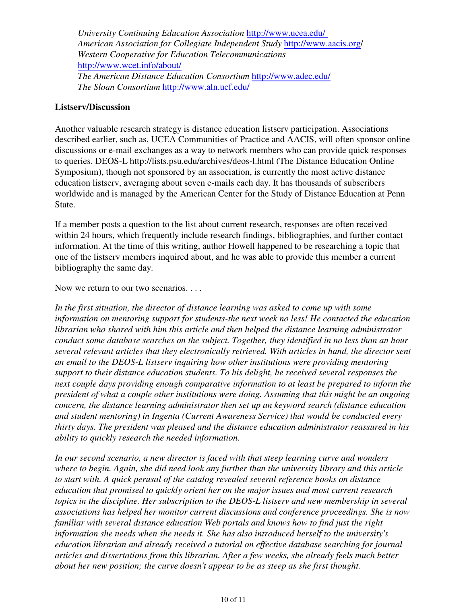*University Continuing Education Association* http://www.ucea.edu/ *American Association for Collegiate Independent Study* http://www.aacis.org/ *Western Cooperative for Education Telecommunications* http://www.wcet.info/about/ *The American Distance Education Consortium* http://www.adec.edu/ *The Sloan Consortium* http://www.aln.ucf.edu/

#### **Listserv/Discussion**

Another valuable research strategy is distance education listserv participation. Associations described earlier, such as, UCEA Communities of Practice and AACIS, will often sponsor online discussions or e-mail exchanges as a way to network members who can provide quick responses to queries. DEOS-L http://lists.psu.edu/archives/deos-l.html (The Distance Education Online Symposium), though not sponsored by an association, is currently the most active distance education listserv, averaging about seven e-mails each day. It has thousands of subscribers worldwide and is managed by the American Center for the Study of Distance Education at Penn State.

If a member posts a question to the list about current research, responses are often received within 24 hours, which frequently include research findings, bibliographies, and further contact information. At the time of this writing, author Howell happened to be researching a topic that one of the listserv members inquired about, and he was able to provide this member a current bibliography the same day.

Now we return to our two scenarios. . . .

*In the first situation, the director of distance learning was asked to come up with some information on mentoring support for students-the next week no less! He contacted the education librarian who shared with him this article and then helped the distance learning administrator conduct some database searches on the subject. Together, they identified in no less than an hour several relevant articles that they electronically retrieved. With articles in hand, the director sent an email to the DEOS-L listserv inquiring how other institutions were providing mentoring support to their distance education students. To his delight, he received several responses the next couple days providing enough comparative information to at least be prepared to inform the president of what a couple other institutions were doing. Assuming that this might be an ongoing concern, the distance learning administrator then set up an keyword search (distance education and student mentoring) in Ingenta (Current Awareness Service) that would be conducted every thirty days. The president was pleased and the distance education administrator reassured in his ability to quickly research the needed information.*

*In our second scenario, a new director is faced with that steep learning curve and wonders where to begin. Again, she did need look any further than the university library and this article to start with. A quick perusal of the catalog revealed several reference books on distance education that promised to quickly orient her on the major issues and most current research topics in the discipline. Her subscription to the DEOS-L listserv and new membership in several associations has helped her monitor current discussions and conference proceedings. She is now familiar with several distance education Web portals and knows how to find just the right information she needs when she needs it. She has also introduced herself to the university's education librarian and already received a tutorial on effective database searching for journal articles and dissertations from this librarian. After a few weeks, she already feels much better about her new position; the curve doesn't appear to be as steep as she first thought.*